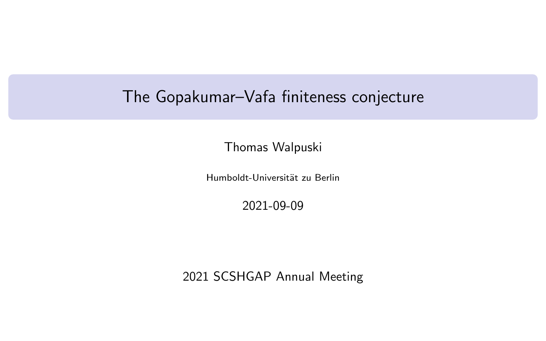# <span id="page-0-0"></span>The Gopakumar–Vafa finiteness conjecture

Thomas Walpuski

Humboldt-Universität zu Berlin

2021-09-09

2021 SCSHGAP Annual Meeting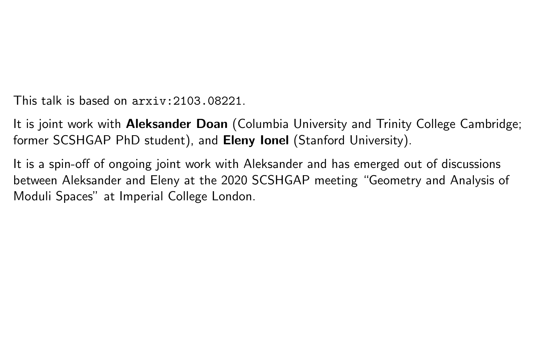This talk is based on  $\arcsin 2103$ . 08221.

It is joint work with **Aleksander Doan** (Columbia University and Trinity College Cambridge; former SCSHGAP PhD student), and Eleny lonel (Stanford University).

It is a spin-off of ongoing joint work with Aleksander and has emerged out of discussions between Aleksander and Eleny at the 2020 SCSHGAP meeting "Geometry and Analysis of Moduli Spaces" at Imperial College London.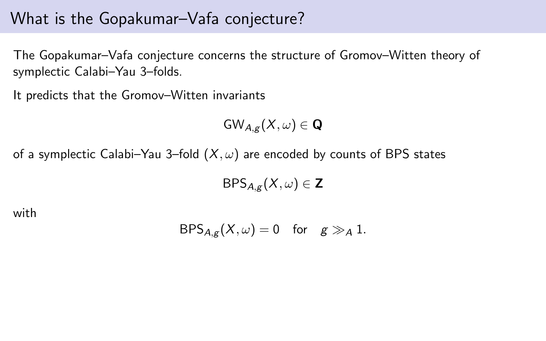The Gopakumar–Vafa conjecture concerns the structure of Gromov–Witten theory of symplectic Calabi–Yau 3–folds.

It predicts that the Gromov–Witten invariants

$$
{\sf GW}_{A,g}(X,\omega)\in{\bf Q}
$$

of a symplectic Calabi–Yau 3–fold  $(X, \omega)$  are encoded by counts of BPS states

 $BPS_{A,g}(X,\omega) \in \mathbb{Z}$ 

with

$$
\mathsf{BPS}_{A,g}(X,\omega)=0\quad\text{for}\quad g\gg_A 1.
$$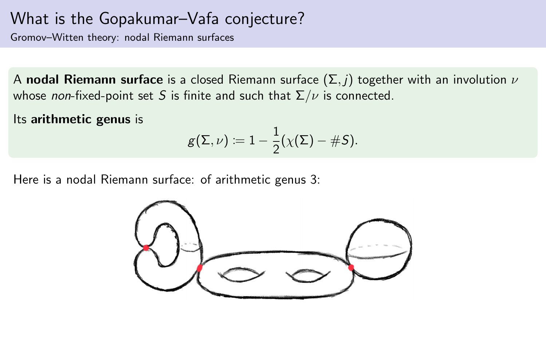Gromov–Witten theory: nodal Riemann surfaces

A nodal Riemann surface is a closed Riemann surface  $(\Sigma, j)$  together with an involution  $\nu$ whose non-fixed-point set S is finite and such that  $\Sigma/\nu$  is connected.

Its arithmetic genus is

$$
g(\Sigma,\nu) \coloneqq 1 - \frac{1}{2}(\chi(\Sigma) - \#S).
$$

Here is a nodal Riemann surface: of arithmetic genus 3:

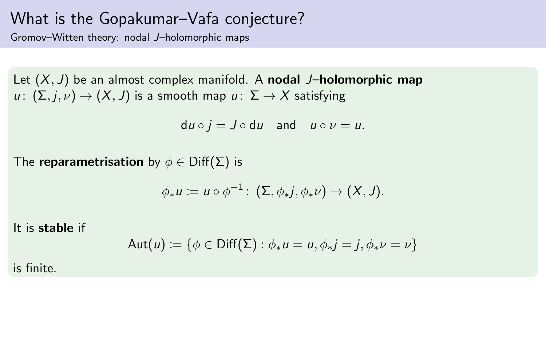Gromov–Witten theory: nodal J–holomorphic maps

Let  $(X, J)$  be an almost complex manifold. A **nodal J-holomorphic map**  $u: (\Sigma, j, \nu) \to (X, J)$  is a smooth map  $u: \Sigma \to X$  satisfying

 $du \circ j = J \circ du$  and  $u \circ \nu = u$ .

The reparametrisation by  $\phi \in \text{Diff}(\Sigma)$  is

$$
\phi_*u:=u\circ\phi^{-1}\colon(\Sigma,\phi_*j,\phi_*\nu)\to(X,J).
$$

It is stable if

$$
\mathsf{Aut}(u) \coloneqq \{ \phi \in \mathsf{Diff}(\Sigma) : \phi_* u = u, \phi_* j = j, \phi_* v = v \}
$$

is finite.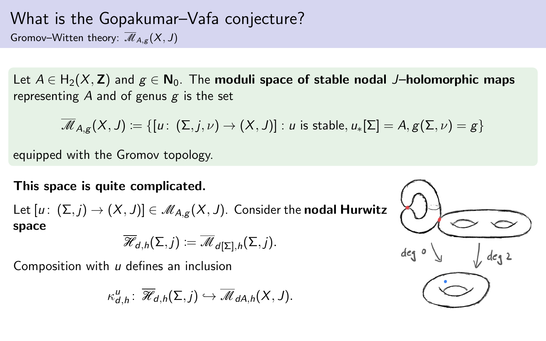#### What is the Gopakumar–Vafa conjecture? Gromov–Witten theory:  $\overline{\mathcal{M}}_{A,\sigma}(X, J)$

Let  $A \in H_2(X, Z)$  and  $g \in N_0$ . The moduli space of stable nodal J–holomorphic maps representing  $A$  and of genus  $g$  is the set

$$
\overline{\mathscr{M}}_{A,g}(X,J) \coloneqq \{[u\colon\,(\Sigma,j,\nu) \to (X,J)] : \text{$u$ is stable}, \text{$u_*[\Sigma]=A, g(\Sigma,\nu)=g$}\}
$$

equipped with the Gromov topology.

This space is quite complicated.

Let  $[u: (\Sigma, j) \to (X, J)] \in \mathcal{M}_{A,g}(X, J)$ . Consider the nodal Hurwitz space

$$
\overline{\mathscr{H}}_{d,h}(\Sigma,j):=\overline{\mathscr{M}}_{d[\Sigma],h}(\Sigma,j).
$$

Composition with  $u$  defines an inclusion

$$
\kappa^u_{d,h}\colon\thinspace \overline{\mathscr{H}}_{d,h}(\Sigma,j)\hookrightarrow \overline{\mathscr{M}}_{dA,h}(X,J).
$$

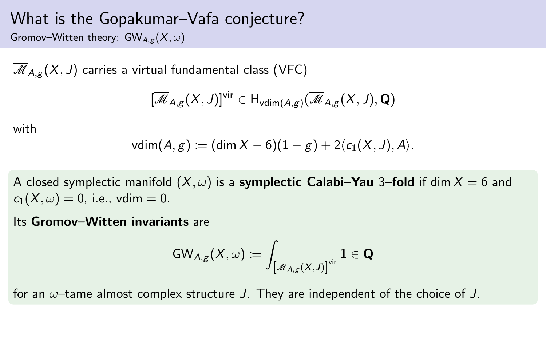Gromov–Witten theory:  $GW_{A,\varepsilon}(X,\omega)$ 

 $\overline{\mathcal{M}}_{A,g}(X,J)$  carries a virtual fundamental class (VFC)

$$
[\overline{\mathscr{M}}_{A,g}(X,J)]^{\text{vir}}\in H_{\text{vdim}(A,g)}(\overline{\mathscr{M}}_{A,g}(X,J),\mathbf{Q})
$$

with

$$
vdim(A, g) := (dim X - 6)(1 - g) + 2\langle c_1(X, J), A \rangle.
$$

A closed symplectic manifold  $(X, \omega)$  is a **symplectic Calabi–Yau** 3–fold if dim  $X = 6$  and  $c_1(X, \omega) = 0$ , i.e., vdim = 0.

#### Its Gromov–Witten invariants are

$$
\mathsf{GW}_{A,\mathsf{g}}(X,\omega) \coloneqq \int_{\left[\overline{\mathscr{M}}_{A,\mathsf{g}}(X,J)\right]^{\mathrm{vir}}} \mathbf{1} \in \mathbf{Q}
$$

for an  $\omega$ -tame almost complex structure J. They are independent of the choice of J.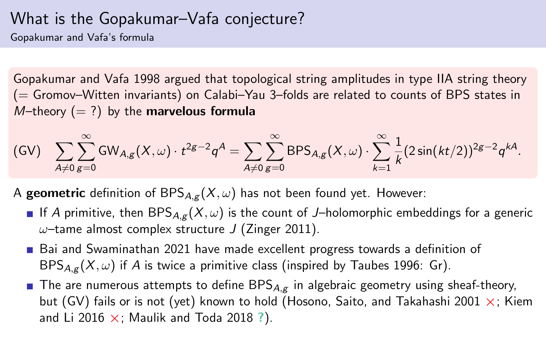Gopakumar and Vafa's formula

Gopakumar and Vafa [1998](#page-0-0) argued that topological string amplitudes in type IIA string theory (= Gromov–Witten invariants) on Calabi–Yau 3–folds are related to counts of BPS states in  $M$ –theory  $(= ?)$  by the marvelous formula

<span id="page-7-0"></span>
$$
(GV) \quad \sum_{A \neq 0} \sum_{g=0}^{\infty} GW_{A,g}(X,\omega) \cdot t^{2g-2} q^A = \sum_{A \neq 0} \sum_{g=0}^{\infty} BPS_{A,g}(X,\omega) \cdot \sum_{k=1}^{\infty} \frac{1}{k} (2 \sin(kt/2))^{2g-2} q^{kA}.
$$

A **geometric** definition of  $BPS_{A,\varepsilon}(X,\omega)$  has not been found yet. However:

- If A primitive, then BPS<sub>A,g</sub>  $(X, \omega)$  is the count of J-holomorphic embeddings for a generic  $\omega$ -tame almost complex structure J (Zinger [2011\)](#page-0-0).
- Bai and Swaminathan [2021](#page-0-0) have made excellent progress towards a definition of  $BPS_{A,g}(X,\omega)$  if A is twice a primitive class (inspired by Taubes [1996:](#page-0-0) Gr).
- **The are numerous attempts to define BPS** $A_{\alpha}$  in algebraic geometry using sheaf-theory, but [\(GV\)](#page-7-0) fails or is not (yet) known to hold (Hosono, Saito, and Takahashi [2001](#page-0-0)  $\times$ ; Kiem and Li [2016](#page-0-0)  $\times$ ; Maulik and Toda [2018](#page-0-0) ?).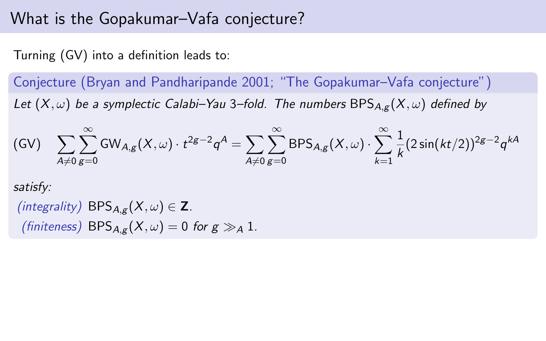Turning [\(GV\)](#page-7-0) into a definition leads to:

Conjecture (Bryan and Pandharipande [2001;](#page-0-0) "The Gopakumar–Vafa conjecture") Let  $(X, \omega)$  be a symplectic Calabi–Yau 3–fold. The numbers BPS<sub>A,g</sub>  $(X, \omega)$  defined by

$$
\text{(GV)}\quad \sum_{A\neq 0}\sum_{g=0}^\infty \text{GW}_{A,g}(X,\omega)\cdot t^{2g-2}q^A = \sum_{A\neq 0}\sum_{g=0}^\infty \text{BPS}_{A,g}(X,\omega)\cdot \sum_{k=1}^\infty \frac{1}{k}(2\sin(kt/2))^{2g-2}q^{kA}
$$

satisfy:

(integrality)  $BPS_{A,\alpha}(X,\omega) \in \mathbb{Z}$ . (finiteness) BPS<sub>A,g</sub>( $X, \omega$ ) = 0 for  $g \gg A$  1.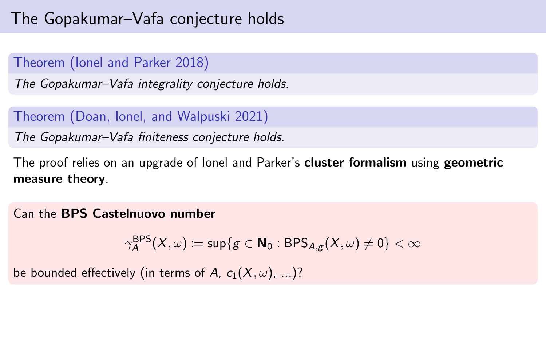# The Gopakumar–Vafa conjecture holds

#### Theorem (Ionel and Parker [2018\)](#page-0-0)

The Gopakumar–Vafa integrality conjecture holds.

#### Theorem (Doan, Ionel, and Walpuski [2021\)](#page-0-0)

The Gopakumar–Vafa finiteness conjecture holds.

The proof relies on an upgrade of Ionel and Parker's cluster formalism using geometric measure theory.

Can the BPS Castelnuovo number

$$
\gamma_A^{\rm BPS}(X,\omega) \coloneqq \sup\{g \in \mathbf{N}_0: {\rm BPS}_{A,g}(X,\omega) \neq 0\} < \infty
$$

be bounded effectively (in terms of A,  $c_1(X, \omega)$ , ...)?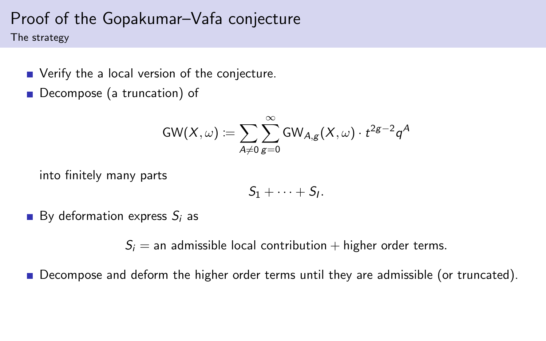The strategy

- Verify the a local version of the conjecture.
- Decompose (a truncation) of

$$
\mathsf{GW}(X,\omega) \coloneqq \sum_{A \neq 0} \sum_{g=0}^\infty \mathsf{GW}_{A,g}(X,\omega) \cdot t^{2g-2} \mathsf{q}^A
$$

into finitely many parts

$$
S_1+\cdots+S_l.
$$

By deformation express  $S_i$  as

 $S_i$  = an admissible local contribution + higher order terms.

Decompose and deform the higher order terms until they are admissible (or truncated).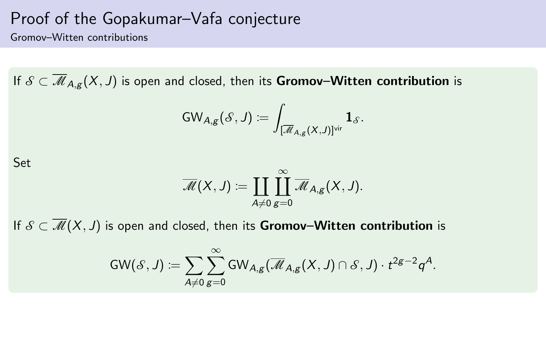Gromov–Witten contributions

If  $S \subset \overline{\mathcal{M}}_{A,g}(X, J)$  is open and closed, then its **Gromov–Witten contribution** is

$$
\mathsf{GW}_{A,g}(\mathcal{S},J)\coloneqq\int_{[\overline{\mathcal{M}}_{A,g}(X,J)]^{\mathrm{vir}}}\mathbf{1}_{\mathcal{S}}.
$$

Set

$$
\overline{\mathscr{M}}(X,J) \coloneqq \coprod_{A \neq 0} \coprod_{g=0}^{\infty} \overline{\mathscr{M}}_{A,g}(X,J).
$$

If  $S \subset \overline{\mathcal{M}}(X, J)$  is open and closed, then its Gromov–Witten contribution is

$$
\mathsf{GW}(\mathscr{S},J) \coloneqq \sum_{A \neq 0} \sum_{g=0}^\infty \mathsf{GW}_{A,g}(\overline{\mathscr{M}}_{A,g}(X,J) \cap \mathscr{S},J) \cdot t^{2g-2} q^A.
$$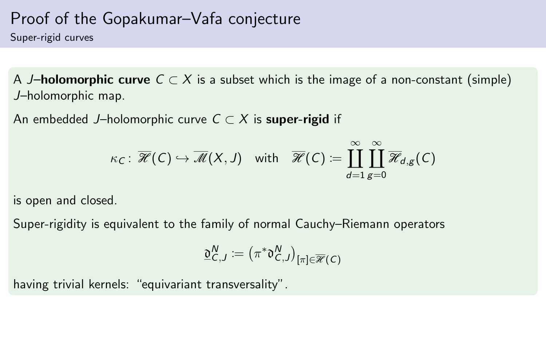Super-rigid curves

A J–holomorphic curve  $C \subset X$  is a subset which is the image of a non-constant (simple) J–holomorphic map.

An embedded J–holomorphic curve  $C \subset X$  is super-rigid if

$$
\kappa_C\colon\thinspace \overline{\mathscr{H}}(C)\hookrightarrow \overline{\mathscr{M}}(X,J) \quad\text{with}\quad \overline{\mathscr{H}}(C)\coloneqq\coprod_{d=1}^\infty\prod_{g=0}^\infty\overline{\mathscr{H}}_{d,g}(C)
$$

is open and closed.

Super-rigidity is equivalent to the family of normal Cauchy–Riemann operators

$$
\underline{\mathfrak{d}}_{C,J}^N := \bigl(\pi^*\mathfrak{d}_{C,J}^N\bigr)_{[\pi]\in\overline{\mathscr{H}}(C)}
$$

having trivial kernels: "equivariant transversality".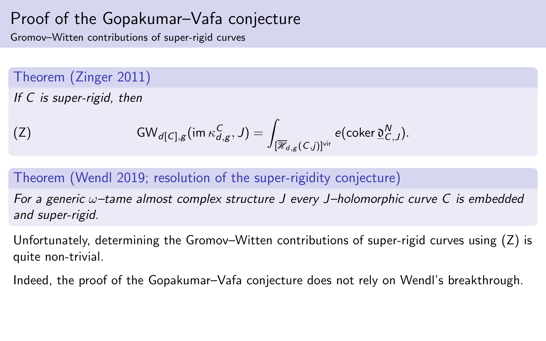Gromov–Witten contributions of super-rigid curves

Theorem (Zinger [2011\)](#page-0-0)

If C is super-rigid, then

<span id="page-13-0"></span>(Z) 
$$
\text{GW}_{d[C],g}(\text{im }\kappa_{d,g}^C,J)=\int_{[\overline{\mathscr{R}}_{d,g}(C,j)]^{\text{vir}}}e(\text{coker }\underline{\mathfrak{d}}_{C,J}^N).
$$

#### Theorem (Wendl [2019;](#page-0-0) resolution of the super-rigidity conjecture)

For a generic  $\omega$ -tame almost complex structure J every J-holomorphic curve C is embedded and super-rigid.

Unfortunately, determining the Gromov–Witten contributions of super-rigid curves using [\(Z\)](#page-13-0) is quite non-trivial.

Indeed, the proof of the Gopakumar–Vafa conjecture does not rely on Wendl's breakthrough.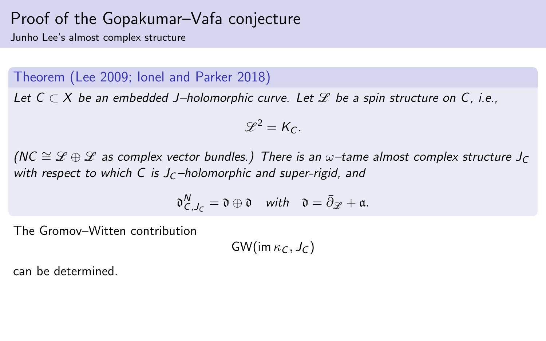Junho Lee's almost complex structure

#### Theorem (Lee [2009;](#page-0-0) Ionel and Parker [2018\)](#page-0-0)

Let  $C \subset X$  be an embedded J-holomorphic curve. Let  $\mathscr L$  be a spin structure on C, i.e.,

$$
\mathscr{L}^2=K_C.
$$

(NC  $\cong \mathscr{L} \oplus \mathscr{L}$  as complex vector bundles.) There is an  $\omega$ -tame almost complex structure J<sub>C</sub> with respect to which C is  $J<sub>C</sub>$ -holomorphic and super-rigid, and

$$
\mathfrak{d}^N_{C,J_C}=\mathfrak{d}\oplus\mathfrak{d}\quad\text{with}\quad \mathfrak{d}=\bar{\partial}_\mathscr{L}+\mathfrak{a}.
$$

The Gromov–Witten contribution

 $GW(im \kappa_C, J_C)$ 

can be determined.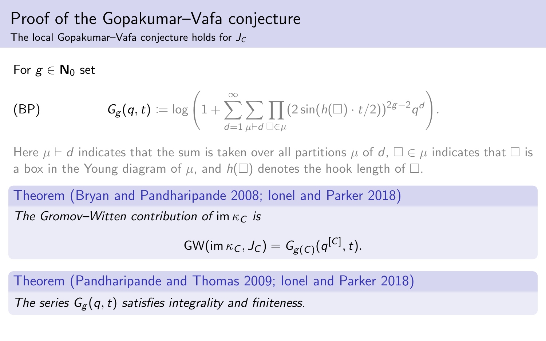The local Gopakumar–Vafa conjecture holds for  $J_C$ 

For  $g \in \mathbb{N}_0$  set

(BP) 
$$
G_{g}(q,t) := \log \left(1 + \sum_{d=1}^{\infty} \sum_{\mu \vdash d} \prod_{\square \in \mu} (2 \sin(h(\square) \cdot t/2))^{2g-2} q^d \right).
$$

Here  $\mu \vdash d$  indicates that the sum is taken over all partitions  $\mu$  of d,  $\Box \in \mu$  indicates that  $\Box$  is a box in the Young diagram of  $\mu$ , and  $h(\square)$  denotes the hook length of  $\square$ .

Theorem (Bryan and Pandharipande [2008;](#page-0-0) Ionel and Parker [2018\)](#page-0-0)

The Gromov–Witten contribution of im  $\kappa_c$  is

GW(im 
$$
\kappa_C
$$
,  $J_C$ ) =  $G_{g(C)}(q^{[C]}, t)$ .

Theorem (Pandharipande and Thomas [2009;](#page-0-0) Ionel and Parker [2018\)](#page-0-0) The series  $G_g(q, t)$  satisfies integrality and finiteness.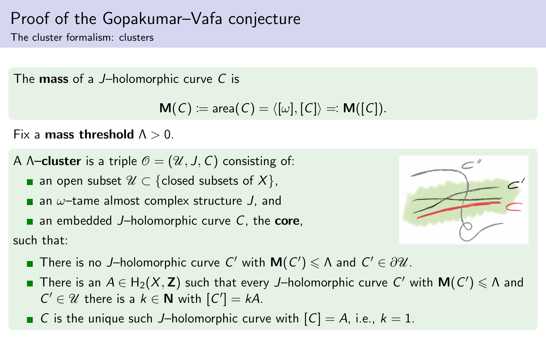The cluster formalism: clusters

The **mass** of a J-holomorphic curve C is

$$
M(C) \coloneqq \text{area}(C) = \langle [\omega], [C] \rangle =: M([C]).
$$

Fix a mass threshold  $\Lambda > 0$ .

- A  $\Lambda$ –cluster is a triple  $\mathcal{O} = (\mathcal{U}, J, C)$  consisting of:
	- an open subset  $\mathcal{U} \subset \{\text{closed subsets of } X\},\$

**a** an  $\omega$ -tame almost complex structure J, and

**a** an embedded J-holomorphic curve  $C$ , the **core**,

such that:



- There is no J–holomorphic curve C' with  $M(C') \leq \Lambda$  and  $C' \in \partial \mathcal{U}$ .
- There is an  $A\in\mathsf{H}_2(X,\mathbf{Z})$  such that every J—holomorphic curve  $\mathsf{C}'$  with  $\mathsf{M}(\mathsf{C}')\leqslant\Lambda$  and  $C' \in \mathcal{U}$  there is a  $k \in \mathbb{N}$  with  $[C'] = kA$ .
- G is the unique such J-holomorphic curve with  $[C] = A$ , i.e.,  $k = 1$ .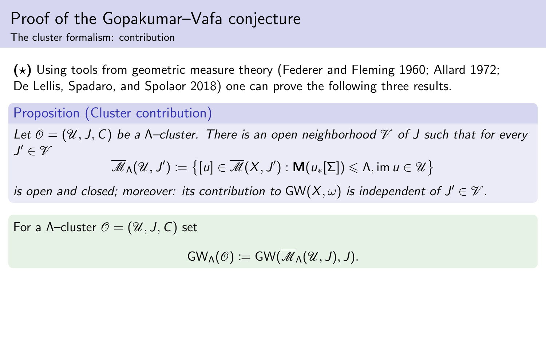The cluster formalism: contribution

 $(\star)$  Using tools from geometric measure theory (Federer and Fleming [1960;](#page-0-0) Allard [1972;](#page-0-0) De Lellis, Spadaro, and Spolaor [2018\)](#page-0-0) one can prove the following three results.

#### Proposition (Cluster contribution)

Let  $\mathcal{O} = (\mathcal{U}, J, C)$  be a N-cluster. There is an open neighborhood  $\mathcal{V}$  of J such that for every  $J'\in\mathscr{V}$ 

$$
\overline{\mathscr{M}}_\Lambda(\mathscr{U},J')\coloneqq\big\{[u]\in\overline{\mathscr{M}}(X,J'):\mathsf{M}(u_*[\Sigma])\leqslant\Lambda,\text{im}\ u\in\mathscr{U}\big\}
$$

is open and closed; moreover: its contribution to  $\mathsf{GW}(X,\omega)$  is independent of  $J'\in\mathscr V.$ 

For a  $\Lambda$ -cluster  $\mathcal{O} = (\mathcal{U}, J, C)$  set

 $GW_\Lambda(\mathcal{O}) := GW(\overline{\mathcal{M}}_\Lambda(\mathcal{U},J),J).$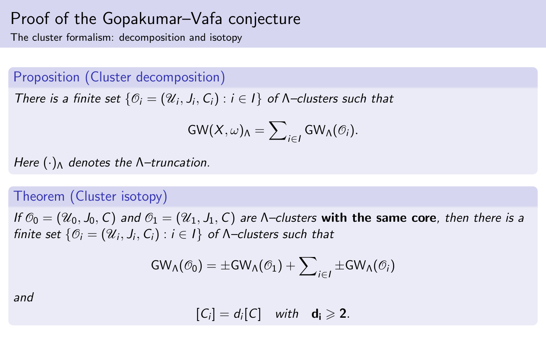The cluster formalism: decomposition and isotopy

Proposition (Cluster decomposition)

There is a finite set  $\{\mathcal{O}_i = (\mathcal{U}_i, J_i, C_i) : i \in I\}$  of  $\Lambda$ -clusters such that

$$
\mathsf{GW}(X,\omega)_{\mathsf{\Lambda}} = {\sum}_{i\in I} \mathsf{GW}_{\mathsf{\Lambda}}(\mathcal{O}_i).
$$

Here  $(\cdot)_{\Lambda}$  denotes the  $\Lambda$ -truncation.

#### Theorem (Cluster isotopy)

If  $\mathcal{O}_0 = (\mathcal{U}_0, J_0, C)$  and  $\mathcal{O}_1 = (\mathcal{U}_1, J_1, C)$  are *N*-clusters with the same core, then there is a finite set  $\{\mathcal{O}_i = (\mathcal{U}_i, J_i, \mathsf{C}_i) : i \in I\}$  of  $\mathsf{\Lambda}\text{-}\mathsf{clusters}$  such that

$$
\mathsf{GW}_{\Lambda}(\mathcal{O}_{0}) = \pm \mathsf{GW}_{\Lambda}(\mathcal{O}_{1}) + \sum\nolimits_{i \in I} \pm \mathsf{GW}_{\Lambda}(\mathcal{O}_{i})
$$

and

 $[C_i] = d_i[C]$  with  $d_i \ge 2$ .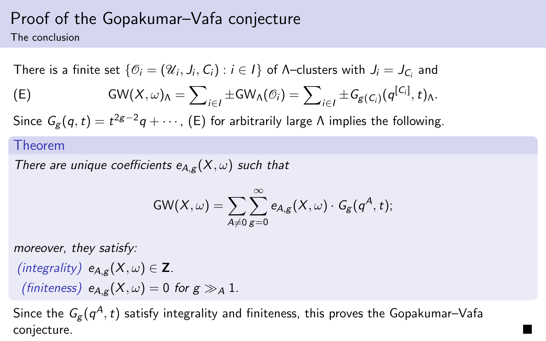The conclusion

There is a finite set  $\{\mathcal{O}_i=(\mathcal{U}_i,J_i,\mathcal{C}_i):i\in I\}$  of  $\Lambda$ –clusters with  $J_i=J_{\mathcal{C}_i}$  and

<span id="page-19-0"></span>
$$
\text{(E)} \qquad \text{GW}(X,\omega)_{\Lambda}=\sum\nolimits_{i\in I}\pm \text{GW}_{\Lambda}(\mathcal{O}_{i})=\sum\nolimits_{i\in I}\pm \text{G}_{g(C_{i})}(q^{[C_{i}]},t)_{\Lambda}.
$$

Since  $\mathit{G}_{g}(q,t)=t^{2g-2}q+\cdots$  , [\(E\)](#page-19-0) for arbitrarily large  $\Lambda$  implies the following.

#### Theorem

There are unique coefficients  $e_{A,g}(X,\omega)$  such that

$$
\textsf{GW}(X,\omega)=\sum_{A\neq 0}\sum_{g=0}^\infty e_{A,g}(X,\omega)\cdot \mathit{G}_g(q^A,t);
$$

moreover, they satisfy:

$$
\begin{aligned}\n\text{(integrality)} \ e_{A,g}(X,\omega) &\in \mathbf{Z} \\
\text{(finiteness)} \ e_{A,g}(X,\omega) &= 0 \text{ for } g \gg_A 1.\n\end{aligned}
$$

Since the  $\,G_{\!g}(q^A\!,t)$  satisfy integrality and finiteness, this proves the Gopakumar–Vafa conjecture. The contract of the contract of the contract of the contract of the contract of the contract of the contract of the contract of the contract of the contract of the contract of the contract of the contract of th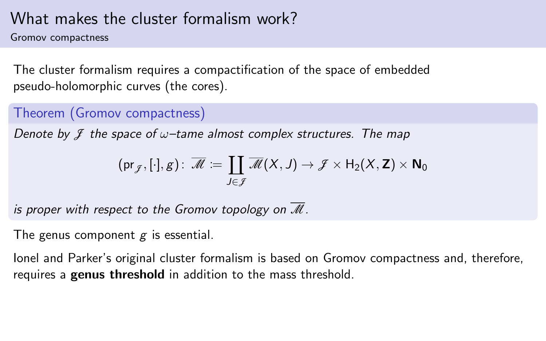# What makes the cluster formalism work?

Gromov compactness

The cluster formalism requires a compactification of the space of embedded pseudo-holomorphic curves (the cores).

Theorem (Gromov compactness)

Denote by  $\mathcal I$  the space of  $\omega$ -tame almost complex structures. The map

$$
(\mathrm{pr}_{\mathcal{J}},[\cdot],g)\colon\thinspace \overline{\mathscr{M}}\coloneqq \coprod_{J\in \mathcal{J}}\overline{\mathscr{M}}(X,J)\to \mathcal{J}\times \mathsf{H}_2(X,\mathsf{Z})\times \mathsf{N}_0
$$

is proper with respect to the Gromov topology on  $\overline{\mathcal{M}}$ .

The genus component  $g$  is essential.

Ionel and Parker's original cluster formalism is based on Gromov compactness and, therefore, requires a genus threshold in addition to the mass threshold.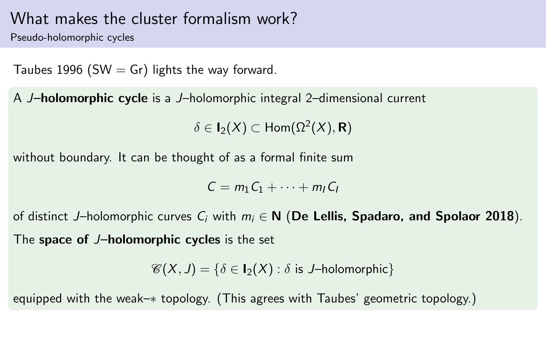#### What makes the cluster formalism work?

Pseudo-holomorphic cycles

Taubes [1996](#page-0-0) (SW  $=$  Gr) lights the way forward.

A J–holomorphic cycle is a J–holomorphic integral 2–dimensional current

 $\delta \in \mathsf I_2(X) \subset \mathsf{Hom}(\Omega^2(X),\mathsf R)$ 

without boundary. It can be thought of as a formal finite sum

$$
C = m_1 C_1 + \cdots + m_l C_l
$$

of distinct J–holomorphic curves  $C_i$  with  $m_i \in \mathbb{N}$  (De Lellis, Spadaro, and Spolaor [2018](#page-0-0)). The space of J-holomorphic cycles is the set

 $\mathscr{C}(X, J) = \{\delta \in I_2(X) : \delta \text{ is } J\text{-holomorphic}\}\$ 

equipped with the weak–∗ topology. (This agrees with Taubes' geometric topology.)